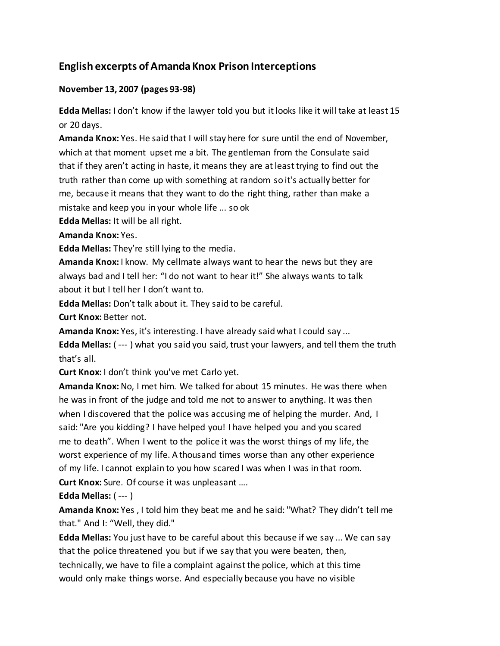# **English excerpts of Amanda Knox Prison Interceptions**

## **November 13, 2007 (pages 93-98)**

**Edda Mellas:** I don't know if the lawyer told you but it looks like it will take at least 15 or 20 days.

**Amanda Knox:** Yes. He said that I will stay here for sure until the end of November, which at that moment upset me a bit. The gentleman from the Consulate said that if they aren't acting in haste, it means they are at least trying to find out the truth rather than come up with something at random so it's actually better for me, because it means that they want to do the right thing, rather than make a mistake and keep you in your whole life ... so ok

**Edda Mellas:** It will be all right.

**Amanda Knox:** Yes.

**Edda Mellas:** They're still lying to the media.

**Amanda Knox:** I know. My cellmate always want to hear the news but they are always bad and I tell her: "I do not want to hear it!" She always wants to talk about it but I tell her I don't want to.

**Edda Mellas:** Don't talk about it. They said to be careful.

**Curt Knox:** Better not.

**Amanda Knox:** Yes, it's interesting. I have already said what I could say ...

**Edda Mellas:** ( --- ) what you said you said, trust your lawyers, and tell them the truth that's all.

**Curt Knox:** I don't think you've met Carlo yet.

**Amanda Knox:** No, I met him. We talked for about 15 minutes. He was there when he was in front of the judge and told me not to answer to anything. It was then when I discovered that the police was accusing me of helping the murder. And, I said: "Are you kidding? I have helped you! I have helped you and you scared me to death". When I went to the police it was the worst things of my life, the worst experience of my life. A thousand times worse than any other experience of my life. I cannot explain to you how scared I was when I was in that room.

**Curt Knox:** Sure. Of course it was unpleasant ….

**Edda Mellas:** ( --- )

**Amanda Knox:** Yes , I told him they beat me and he said: "What? They didn't tell me that." And I: "Well, they did."

**Edda Mellas:** You just have to be careful about this because if we say ... We can say that the police threatened you but if we say that you were beaten, then, technically, we have to file a complaint against the police, which at this time would only make things worse. And especially because you have no visible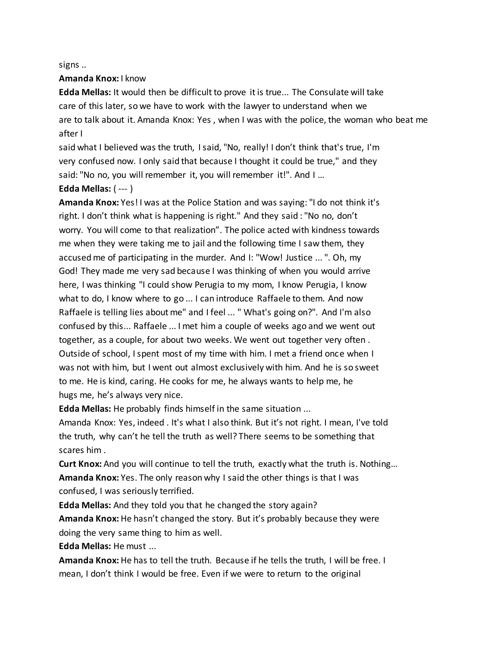signs ..

#### **Amanda Knox:** I know

**Edda Mellas:** It would then be difficult to prove it is true... The Consulate will take care of this later, so we have to work with the lawyer to understand when we are to talk about it. Amanda Knox: Yes , when I was with the police, the woman who beat me after I

said what I believed was the truth, I said, "No, really! I don't think that's true, I'm very confused now. I only said that because I thought it could be true," and they said: "No no, you will remember it, you will remember it!". And I ... **Edda Mellas:** ( --- )

**Amanda Knox:** Yes! I was at the Police Station and was saying: "I do not think it's right. I don't think what is happening is right." And they said : "No no, don't worry. You will come to that realization". The police acted with kindness towards me when they were taking me to jail and the following time I saw them, they accused me of participating in the murder. And I: "Wow! Justice ... ". Oh, my God! They made me very sad because I was thinking of when you would arrive here, I was thinking "I could show Perugia to my mom, I know Perugia, I know what to do, I know where to go ... I can introduce Raffaele to them. And now Raffaele is telling lies about me" and I feel ... " What's going on?". And I'm also confused by this... Raffaele ... I met him a couple of weeks ago and we went out together, as a couple, for about two weeks. We went out together very often . Outside of school, I spent most of my time with him. I met a friend once when I was not with him, but I went out almost exclusively with him. And he is so sweet to me. He is kind, caring. He cooks for me, he always wants to help me, he hugs me, he's always very nice.

**Edda Mellas:** He probably finds himself in the same situation ...

Amanda Knox: Yes, indeed . It's what I also think. But it's not right. I mean, I've told the truth, why can't he tell the truth as well? There seems to be something that scares him .

**Curt Knox:** And you will continue to tell the truth, exactly what the truth is. Nothing… **Amanda Knox:** Yes. The only reason why I said the other things is that I was confused, I was seriously terrified.

**Edda Mellas:** And they told you that he changed the story again? **Amanda Knox:** He hasn't changed the story. But it's probably because they were doing the very same thing to him as well.

**Edda Mellas:** He must ...

**Amanda Knox:** He has to tell the truth. Because if he tells the truth, I will be free. I mean, I don't think I would be free. Even if we were to return to the original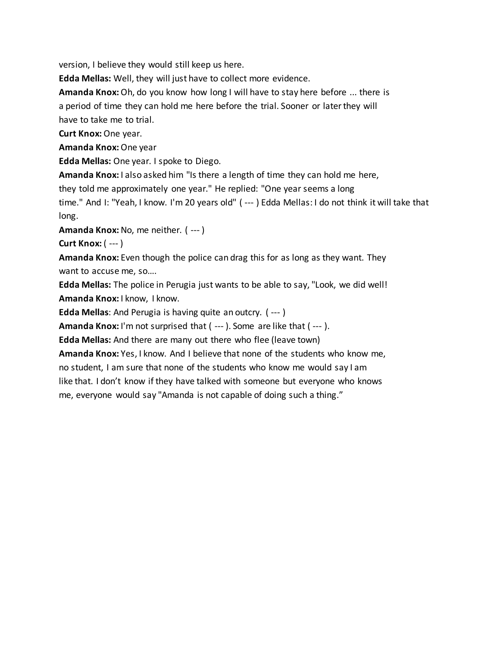version, I believe they would still keep us here.

**Edda Mellas:** Well, they will just have to collect more evidence.

**Amanda Knox:** Oh, do you know how long I will have to stay here before ... there is a period of time they can hold me here before the trial. Sooner or later they will have to take me to trial.

**Curt Knox:** One year.

**Amanda Knox:** One year

**Edda Mellas:** One year. I spoke to Diego.

**Amanda Knox:** I also asked him "Is there a length of time they can hold me here,

they told me approximately one year." He replied: "One year seems a long

time." And I: "Yeah, I know. I'm 20 years old" ( --- ) Edda Mellas: I do not think it will take that long.

**Amanda Knox:** No, me neither. ( --- )

**Curt Knox:** ( --- )

**Amanda Knox:** Even though the police can drag this for as long as they want. They want to accuse me, so….

**Edda Mellas:** The police in Perugia just wants to be able to say, "Look, we did well! **Amanda Knox:** I know, I know.

**Edda Mellas**: And Perugia is having quite an outcry. ( --- )

**Amanda Knox:** I'm not surprised that ( --- ). Some are like that ( --- ).

**Edda Mellas:** And there are many out there who flee (leave town)

**Amanda Knox:** Yes, I know. And I believe that none of the students who know me, no student, I am sure that none of the students who know me would say I am like that. I don't know if they have talked with someone but everyone who knows me, everyone would say "Amanda is not capable of doing such a thing."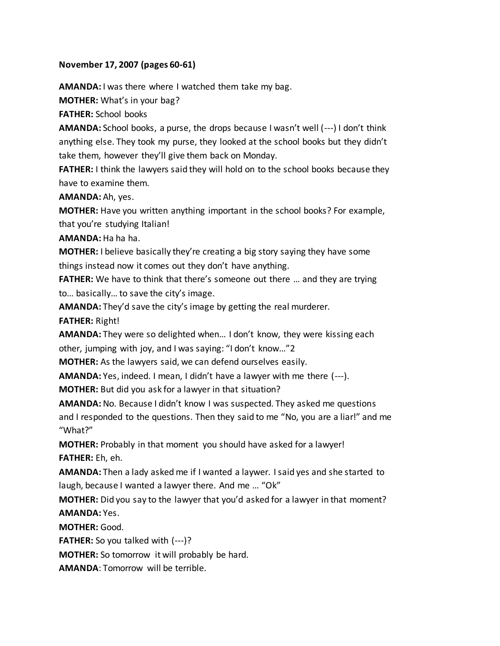#### **November 17, 2007 (pages 60-61)**

**AMANDA:** I was there where I watched them take my bag.

**MOTHER:** What's in your bag?

**FATHER:** School books

**AMANDA:** School books, a purse, the drops because I wasn't well (---) I don't think anything else. They took my purse, they looked at the school books but they didn't take them, however they'll give them back on Monday.

**FATHER:** I think the lawyers said they will hold on to the school books because they have to examine them.

**AMANDA:** Ah, yes.

**MOTHER:** Have you written anything important in the school books? For example, that you're studying Italian!

**AMANDA:** Ha ha ha.

**MOTHER:** I believe basically they're creating a big story saying they have some things instead now it comes out they don't have anything.

**FATHER:** We have to think that there's someone out there … and they are trying to… basically… to save the city's image.

**AMANDA:** They'd save the city's image by getting the real murderer.

**FATHER:** Right!

**AMANDA:** They were so delighted when… I don't know, they were kissing each other, jumping with joy, and I was saying: "I don't know…"2

**MOTHER:** As the lawyers said, we can defend ourselves easily.

**AMANDA:** Yes, indeed. I mean, I didn't have a lawyer with me there (---).

**MOTHER:** But did you ask for a lawyer in that situation?

**AMANDA:** No. Because I didn't know I was suspected. They asked me questions and I responded to the questions. Then they said to me "No, you are a liar!" and me "What?"

**MOTHER:** Probably in that moment you should have asked for a lawyer! **FATHER:** Eh, eh.

**AMANDA:** Then a lady asked me if I wanted a laywer. I said yes and she started to laugh, because I wanted a lawyer there. And me … "Ok"

**MOTHER:** Did you say to the lawyer that you'd asked for a lawyer in that moment? **AMANDA:** Yes.

**MOTHER:** Good.

**FATHER:** So you talked with (---)?

**MOTHER:** So tomorrow it will probably be hard.

**AMANDA**: Tomorrow will be terrible.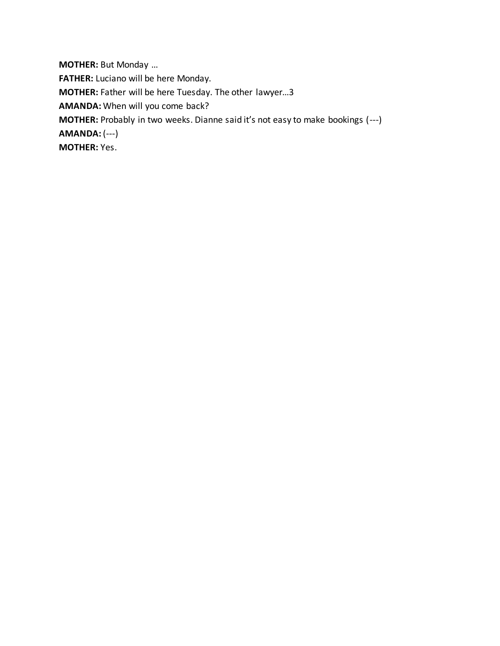**MOTHER:** But Monday … **FATHER:** Luciano will be here Monday. **MOTHER:** Father will be here Tuesday. The other lawyer…3 **AMANDA:** When will you come back? **MOTHER:** Probably in two weeks. Dianne said it's not easy to make bookings (---) **AMANDA:** (---) **MOTHER:** Yes.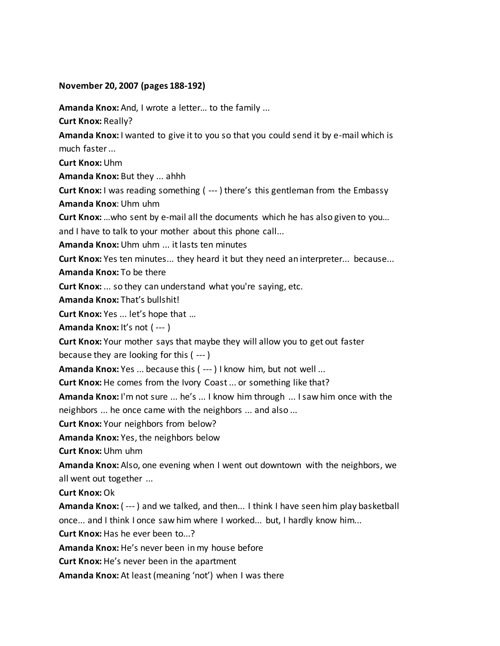#### **November 20, 2007 (pages 188-192)**

**Amanda Knox:** And, I wrote a letter… to the family ...

**Curt Knox:** Really?

**Amanda Knox:** I wanted to give it to you so that you could send it by e-mail which is much faster ...

**Curt Knox:** Uhm

**Amanda Knox:** But they ... ahhh

**Curt Knox:** I was reading something ( --- ) there's this gentleman from the Embassy **Amanda Knox**: Uhm uhm

**Curt Knox:**…who sent by e-mail all the documents which he has also given to you…

and I have to talk to your mother about this phone call...

**Amanda Knox:** Uhm uhm ... it lasts ten minutes

**Curt Knox:** Yes ten minutes... they heard it but they need an interpreter... because...

**Amanda Knox:** To be there

**Curt Knox:** ... so they can understand what you're saying, etc.

**Amanda Knox:** That's bullshit!

**Curt Knox:** Yes ... let's hope that …

**Amanda Knox:** It's not ( --- )

**Curt Knox:** Your mother says that maybe they will allow you to get out faster

because they are looking for this ( --- )

**Amanda Knox:** Yes ... because this ( --- ) I know him, but not well ...

**Curt Knox:** He comes from the Ivory Coast ... or something like that?

**Amanda Knox:** I'm not sure ... he's ... I know him through ... I saw him once with the neighbors ... he once came with the neighbors ... and also ...

**Curt Knox:** Your neighbors from below?

**Amanda Knox:** Yes, the neighbors below

**Curt Knox:** Uhm uhm

**Amanda Knox:** Also, one evening when I went out downtown with the neighbors, we all went out together ...

**Curt Knox:** Ok

**Amanda Knox:** ( --- ) and we talked, and then... I think I have seen him play basketball once... and I think I once saw him where I worked... but, I hardly know him...

**Curt Knox:** Has he ever been to...?

**Amanda Knox:** He's never been in my house before

**Curt Knox:** He's never been in the apartment

**Amanda Knox:** At least (meaning 'not') when I was there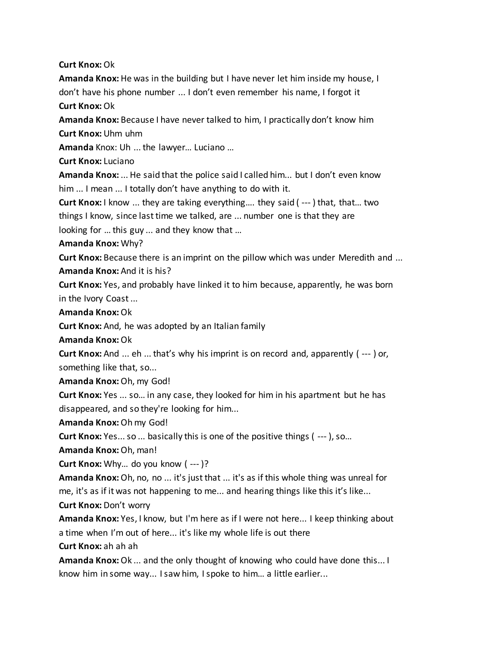**Curt Knox:** Ok

**Amanda Knox:** He was in the building but I have never let him inside my house, I don't have his phone number ... I don't even remember his name, I forgot it

**Curt Knox:** Ok

**Amanda Knox:** Because I have never talked to him, I practically don't know him **Curt Knox:** Uhm uhm

**Amanda** Knox: Uh ... the lawyer… Luciano …

**Curt Knox:** Luciano

**Amanda Knox:** ... He said that the police said I called him... but I don't even know him ... I mean ... I totally don't have anything to do with it.

**Curt Knox:** I know ... they are taking everything…. they said ( --- ) that, that… two things I know, since last time we talked, are ... number one is that they are

looking for … this guy ... and they know that …

**Amanda Knox:** Why?

**Curt Knox:** Because there is an imprint on the pillow which was under Meredith and ... **Amanda Knox:** And it is his?

**Curt Knox:** Yes, and probably have linked it to him because, apparently, he was born in the Ivory Coast ...

**Amanda Knox:** Ok

**Curt Knox:** And, he was adopted by an Italian family

**Amanda Knox:** Ok

**Curt Knox:** And ... eh ... that's why his imprint is on record and, apparently ( --- ) or, something like that, so...

**Amanda Knox:** Oh, my God!

**Curt Knox:** Yes ... so… in any case, they looked for him in his apartment but he has disappeared, and so they're looking for him...

**Amanda Knox:** Oh my God!

**Curt Knox:** Yes... so ... basically this is one of the positive things ( --- ), so…

**Amanda Knox:** Oh, man!

**Curt Knox:** Why… do you know ( --- )?

**Amanda Knox:** Oh, no, no ... it's just that ... it's as if this whole thing was unreal for me, it's as if it was not happening to me... and hearing things like this it's like...

**Curt Knox:** Don't worry

**Amanda Knox:** Yes, I know, but I'm here as if I were not here... I keep thinking about a time when I'm out of here... it's like my whole life is out there

**Curt Knox:** ah ah ah

**Amanda Knox:** Ok ... and the only thought of knowing who could have done this... I know him in some way... I saw him, I spoke to him… a little earlier...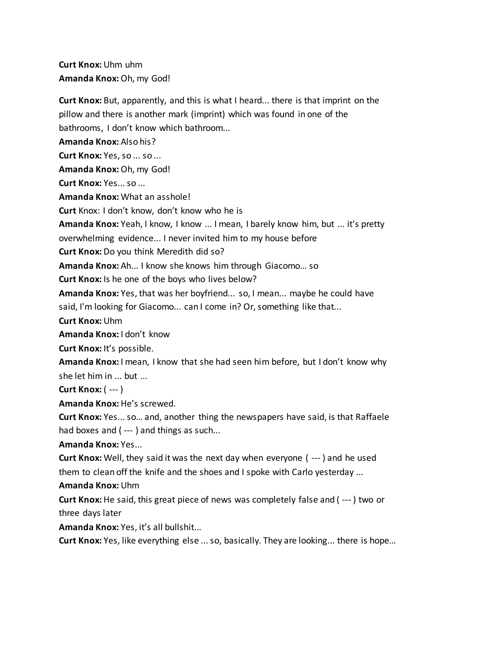**Curt Knox:** Uhm uhm **Amanda Knox:** Oh, my God!

**Curt Knox:** But, apparently, and this is what I heard... there is that imprint on the pillow and there is another mark (imprint) which was found in one of the bathrooms, I don't know which bathroom... **Amanda Knox:** Also his? **Curt Knox:** Yes, so ... so ... **Amanda Knox:** Oh, my God! **Curt Knox:** Yes... so ... **Amanda Knox:** What an asshole! **Curt** Knox: I don't know, don't know who he is **Amanda Knox:** Yeah, I know, I know ... I mean, I barely know him, but ... it's pretty overwhelming evidence... I never invited him to my house before **Curt Knox:** Do you think Meredith did so? **Amanda Knox:** Ah... I know she knows him through Giacomo… so **Curt Knox:** Is he one of the boys who lives below? **Amanda Knox:** Yes, that was her boyfriend... so, I mean... maybe he could have said, I'm looking for Giacomo... can I come in? Or, something like that... **Curt Knox:** Uhm **Amanda Knox:** I don't know **Curt Knox:** It's possible. **Amanda Knox:** I mean, I know that she had seen him before, but I don't know why she let him in ... but ... **Curt Knox:** ( --- ) **Amanda Knox:** He's screwed. **Curt Knox:** Yes... so… and, another thing the newspapers have said, is that Raffaele had boxes and (---) and things as such... **Amanda Knox:** Yes... **Curt Knox:** Well, they said it was the next day when everyone ( --- ) and he used them to clean off the knife and the shoes and I spoke with Carlo yesterday ... **Amanda Knox:** Uhm **Curt Knox:** He said, this great piece of news was completely false and ( --- ) two or three days later **Amanda Knox:** Yes, it's all bullshit...

**Curt Knox:** Yes, like everything else ... so, basically. They are looking... there is hope…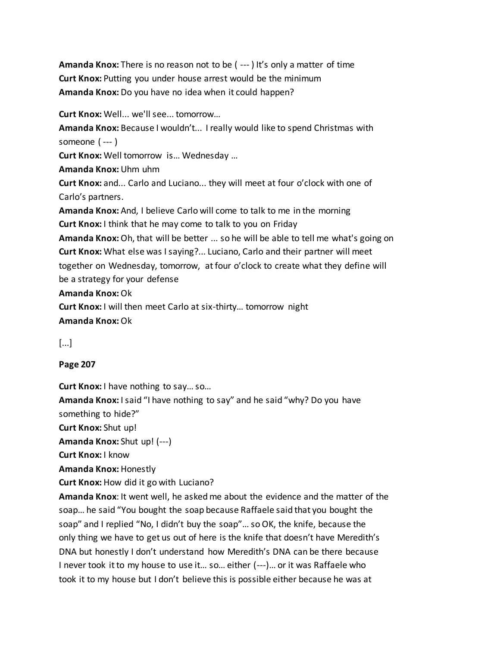**Amanda Knox:** There is no reason not to be ( --- ) It's only a matter of time **Curt Knox:** Putting you under house arrest would be the minimum **Amanda Knox:** Do you have no idea when it could happen?

**Curt Knox:** Well... we'll see... tomorrow…

**Amanda Knox:** Because I wouldn't... I really would like to spend Christmas with someone ( --- )

**Curt Knox:** Well tomorrow is… Wednesday …

**Amanda Knox:** Uhm uhm

**Curt Knox:** and... Carlo and Luciano... they will meet at four o'clock with one of Carlo's partners.

**Amanda Knox:** And, I believe Carlo will come to talk to me in the morning **Curt Knox:** I think that he may come to talk to you on Friday

**Amanda Knox:** Oh, that will be better ... so he will be able to tell me what's going on **Curt Knox:** What else was I saying?... Luciano, Carlo and their partner will meet together on Wednesday, tomorrow, at four o'clock to create what they define will be a strategy for your defense

## **Amanda Knox:** Ok

**Curt Knox:** I will then meet Carlo at six-thirty… tomorrow night **Amanda Knox:** Ok

[...]

# **Page 207**

**Curt Knox:** I have nothing to say… so…

**Amanda Knox:** I said "I have nothing to say" and he said "why? Do you have something to hide?"

**Curt Knox:** Shut up!

**Amanda Knox:** Shut up! (---)

**Curt Knox:** I know

**Amanda Knox:** Honestly

**Curt Knox:** How did it go with Luciano?

**Amanda Knox**: It went well, he asked me about the evidence and the matter of the soap… he said "You bought the soap because Raffaele said that you bought the soap" and I replied "No, I didn't buy the soap"… so OK, the knife, because the only thing we have to get us out of here is the knife that doesn't have Meredith's DNA but honestly I don't understand how Meredith's DNA can be there because I never took it to my house to use it… so… either (---)… or it was Raffaele who took it to my house but I don't believe this is possible either because he was at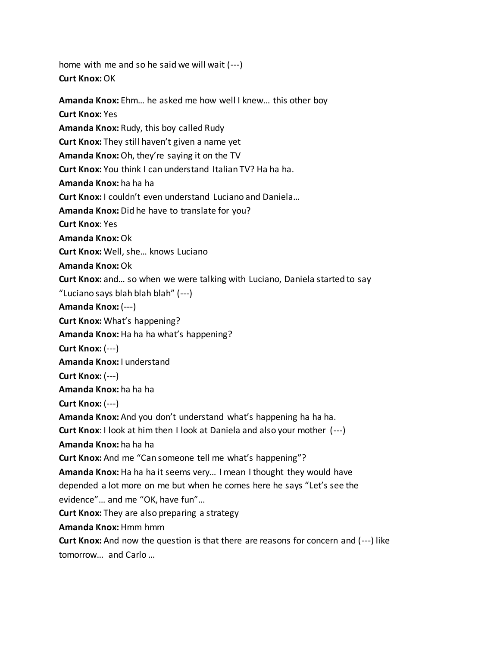home with me and so he said we will wait (---) **Curt Knox:**OK

**Amanda Knox:** Ehm… he asked me how well I knew… this other boy **Curt Knox:** Yes **Amanda Knox:** Rudy, this boy called Rudy **Curt Knox:** They still haven't given a name yet **Amanda Knox:** Oh, they're saying it on the TV **Curt Knox:** You think I can understand Italian TV? Ha ha ha. **Amanda Knox:** ha ha ha **Curt Knox:** I couldn't even understand Luciano and Daniela… **Amanda Knox:** Did he have to translate for you? **Curt Knox**: Yes **Amanda Knox:** Ok **Curt Knox:** Well, she… knows Luciano **Amanda Knox:** Ok **Curt Knox:** and… so when we were talking with Luciano, Daniela started to say "Luciano says blah blah blah" (---) **Amanda Knox:** (---) **Curt Knox:** What's happening? Amanda Knox: Ha ha ha what's happening? **Curt Knox:** (---) **Amanda Knox:** I understand **Curt Knox:** (---) **Amanda Knox:** ha ha ha **Curt Knox:** (---) **Amanda Knox:** And you don't understand what's happening ha ha ha. **Curt Knox**: I look at him then I look at Daniela and also your mother (---) **Amanda Knox:** ha ha ha **Curt Knox:** And me "Can someone tell me what's happening"? **Amanda Knox:** Ha ha ha it seems very… I mean I thought they would have depended a lot more on me but when he comes here he says "Let's see the evidence"… and me "OK, have fun"… **Curt Knox:** They are also preparing a strategy **Amanda Knox:** Hmm hmm **Curt Knox:** And now the question is that there are reasons for concern and (---) like tomorrow… and Carlo …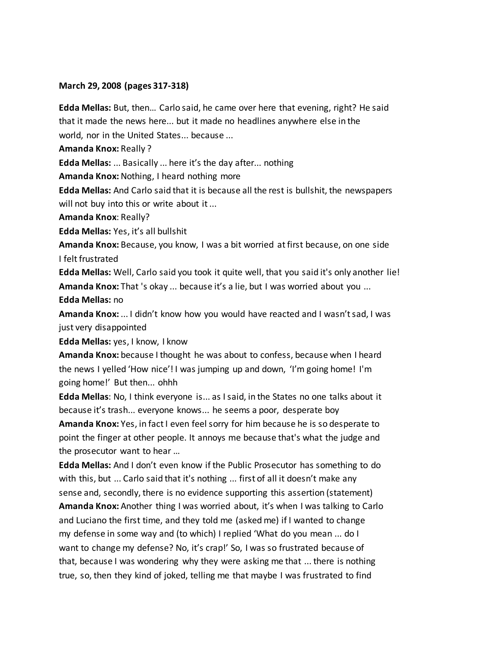#### **March 29, 2008 (pages 317-318)**

**Edda Mellas:** But, then… Carlo said, he came over here that evening, right? He said that it made the news here... but it made no headlines anywhere else in the world, nor in the United States... because ...

**Amanda Knox:** Really ?

**Edda Mellas:** ... Basically ... here it's the day after... nothing

**Amanda Knox:** Nothing, I heard nothing more

**Edda Mellas:** And Carlo said that it is because all the rest is bullshit, the newspapers will not buy into this or write about it ...

**Amanda Knox**: Really?

**Edda Mellas:** Yes, it's all bullshit

**Amanda Knox:** Because, you know, I was a bit worried at first because, on one side I felt frustrated

**Edda Mellas:** Well, Carlo said you took it quite well, that you said it's only another lie! **Amanda Knox:** That 's okay ... because it's a lie, but I was worried about you ... **Edda Mellas:** no

**Amanda Knox:** ... I didn't know how you would have reacted and I wasn't sad, I was just very disappointed

**Edda Mellas:** yes, I know, I know

**Amanda Knox:** because I thought he was about to confess, because when I heard the news I yelled 'How nice'! I was jumping up and down, 'I'm going home! I'm going home!' But then... ohhh

**Edda Mellas**: No, I think everyone is... as I said, in the States no one talks about it because it's trash... everyone knows... he seems a poor, desperate boy

**Amanda Knox:** Yes, in fact I even feel sorry for him because he is so desperate to point the finger at other people. It annoys me because that's what the judge and the prosecutor want to hear …

**Edda Mellas:** And I don't even know if the Public Prosecutor has something to do with this, but ... Carlo said that it's nothing ... first of all it doesn't make any sense and, secondly, there is no evidence supporting this assertion (statement) **Amanda Knox:** Another thing I was worried about, it's when I was talking to Carlo and Luciano the first time, and they told me (asked me) if I wanted to change my defense in some way and (to which) I replied 'What do you mean ... do I want to change my defense? No, it's crap!' So, I was so frustrated because of that, because I was wondering why they were asking me that ... there is nothing

true, so, then they kind of joked, telling me that maybe I was frustrated to find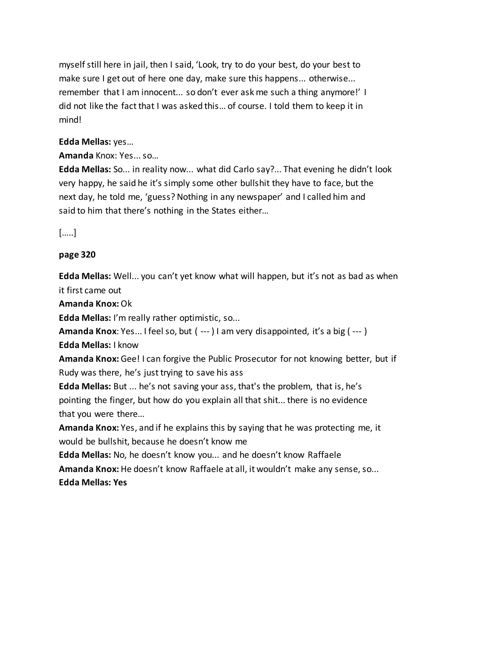myself still here in jail, then I said, 'Look, try to do your best, do your best to make sure I get out of here one day, make sure this happens... otherwise... remember that I am innocent... so don't ever ask me such a thing anymore!' I did not like the fact that I was asked this… of course. I told them to keep it in mind!

# **Edda Mellas:** yes…

# **Amanda** Knox: Yes... so…

**Edda Mellas:** So... in reality now... what did Carlo say?... That evening he didn't look very happy, he said he it's simply some other bullshit they have to face, but the next day, he told me, 'guess? Nothing in any newspaper' and I called him and said to him that there's nothing in the States either…

[…..]

# **page 320**

**Edda Mellas:** Well... you can't yet know what will happen, but it's not as bad as when it first came out

**Amanda Knox:** Ok

**Edda Mellas:** I'm really rather optimistic, so...

**Amanda Knox**: Yes... I feel so, but ( --- ) I am very disappointed, it's a big ( --- )

**Edda Mellas:** I know

**Amanda Knox:** Gee! I can forgive the Public Prosecutor for not knowing better, but if Rudy was there, he's just trying to save his ass

**Edda Mellas:** But ... he's not saving your ass, that's the problem, that is, he's pointing the finger, but how do you explain all that shit... there is no evidence that you were there…

**Amanda Knox:** Yes, and if he explains this by saying that he was protecting me, it would be bullshit, because he doesn't know me

**Edda Mellas:** No, he doesn't know you... and he doesn't know Raffaele

**Amanda Knox:** He doesn't know Raffaele at all, it wouldn't make any sense, so... **Edda Mellas: Yes**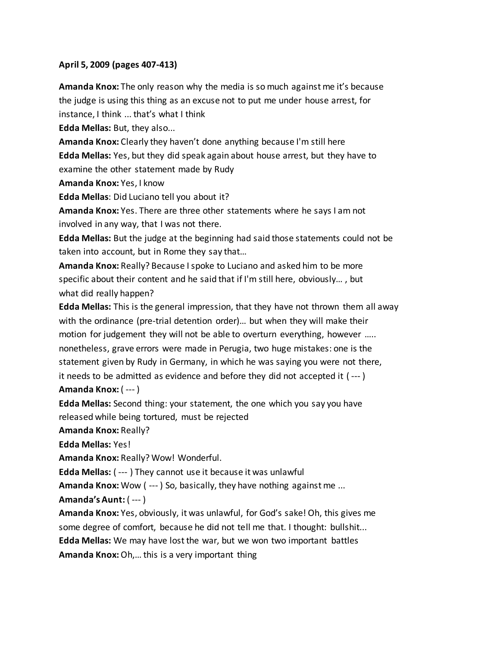#### **April 5, 2009 (pages 407-413)**

**Amanda Knox:** The only reason why the media is so much against me it's because the judge is using this thing as an excuse not to put me under house arrest, for instance, I think ... that's what I think

**Edda Mellas:** But, they also...

**Amanda Knox:** Clearly they haven't done anything because I'm still here

**Edda Mellas:** Yes, but they did speak again about house arrest, but they have to

examine the other statement made by Rudy

**Amanda Knox:** Yes, I know

**Edda Mellas**: Did Luciano tell you about it?

**Amanda Knox:** Yes. There are three other statements where he says I am not involved in any way, that I was not there.

**Edda Mellas:** But the judge at the beginning had said those statements could not be taken into account, but in Rome they say that…

**Amanda Knox:** Really? Because I spoke to Luciano and asked him to be more specific about their content and he said that if I'm still here, obviously… , but what did really happen?

**Edda Mellas:** This is the general impression, that they have not thrown them all away with the ordinance (pre-trial detention order)… but when they will make their motion for judgement they will not be able to overturn everything, however ….. nonetheless, grave errors were made in Perugia, two huge mistakes: one is the statement given by Rudy in Germany, in which he was saying you were not there, it needs to be admitted as evidence and before they did not accepted it ( --- ) **Amanda Knox:** ( --- )

**Edda Mellas:** Second thing: your statement, the one which you say you have released while being tortured, must be rejected

**Amanda Knox:** Really?

**Edda Mellas:** Yes!

**Amanda Knox:** Really? Wow! Wonderful.

**Edda Mellas:** ( --- ) They cannot use it because it was unlawful

**Amanda Knox:** Wow ( --- ) So, basically, they have nothing against me ...

## **Amanda's Aunt:** ( --- )

**Amanda Knox:** Yes, obviously, it was unlawful, for God's sake! Oh, this gives me some degree of comfort, because he did not tell me that. I thought: bullshit... **Edda Mellas:** We may have lost the war, but we won two important battles **Amanda Knox:** Oh,… this is a very important thing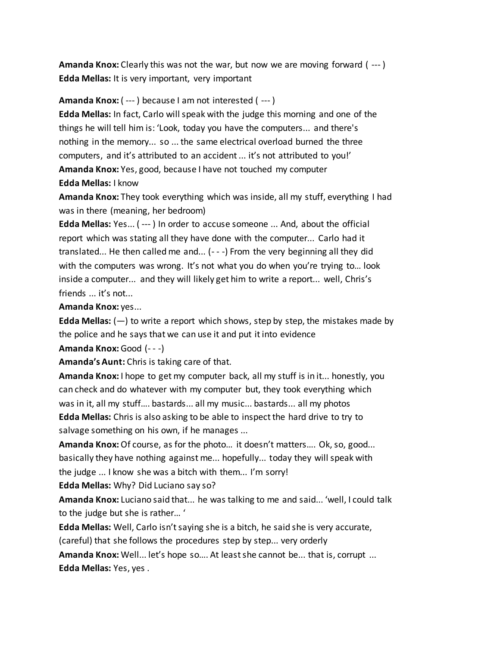**Amanda Knox:** Clearly this was not the war, but now we are moving forward ( --- ) **Edda Mellas:** It is very important, very important

## **Amanda Knox:** ( --- ) because I am not interested ( --- )

**Edda Mellas:** In fact, Carlo will speak with the judge this morning and one of the things he will tell him is: 'Look, today you have the computers... and there's nothing in the memory... so ... the same electrical overload burned the three computers, and it's attributed to an accident ... it's not attributed to you!' **Amanda Knox:** Yes, good, because I have not touched my computer **Edda Mellas:** I know

**Amanda Knox:** They took everything which was inside, all my stuff, everything I had was in there (meaning, her bedroom)

**Edda Mellas:** Yes... ( --- ) In order to accuse someone ... And, about the official report which was stating all they have done with the computer... Carlo had it translated... He then called me and... (- - -) From the very beginning all they did with the computers was wrong. It's not what you do when you're trying to… look inside a computer... and they will likely get him to write a report... well, Chris's friends ... it's not...

**Amanda Knox:** yes...

**Edda Mellas:** (—) to write a report which shows, step by step, the mistakes made by the police and he says that we can use it and put it into evidence

**Amanda Knox:** Good (- - -)

**Amanda's Aunt:** Chris is taking care of that.

**Amanda Knox:** I hope to get my computer back, all my stuff is in it... honestly, you can check and do whatever with my computer but, they took everything which was in it, all my stuff…. bastards... all my music... bastards... all my photos **Edda Mellas:** Chris is also asking to be able to inspect the hard drive to try to salvage something on his own, if he manages ...

**Amanda Knox:** Of course, as for the photo… it doesn't matters…. Ok, so, good... basically they have nothing against me... hopefully... today they will speak with the judge ... I know she was a bitch with them... I'm sorry!

**Edda Mellas:** Why? Did Luciano say so?

**Amanda Knox:** Luciano said that... he was talking to me and said... 'well, I could talk to the judge but she is rather… '

**Edda Mellas:** Well, Carlo isn't saying she is a bitch, he said she is very accurate, (careful) that she follows the procedures step by step... very orderly

**Amanda Knox:** Well... let's hope so…. At least she cannot be... that is, corrupt ... **Edda Mellas:** Yes, yes .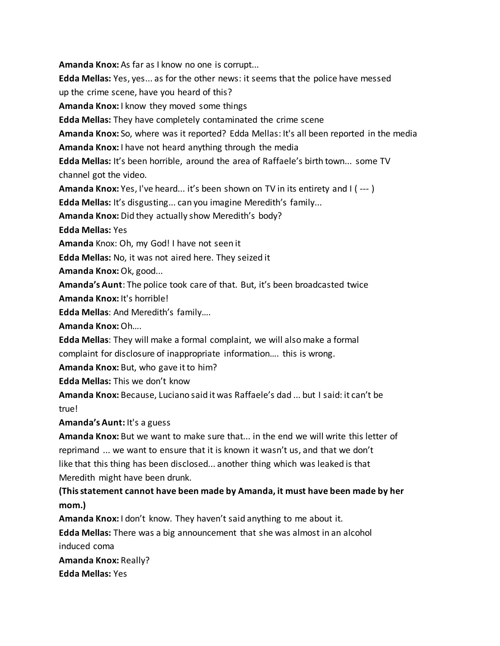**Amanda Knox:** As far as I know no one is corrupt...

**Edda Mellas:** Yes, yes... as for the other news: it seems that the police have messed

up the crime scene, have you heard of this?

**Amanda Knox:** I know they moved some things

**Edda Mellas:** They have completely contaminated the crime scene

**Amanda Knox:** So, where was it reported? Edda Mellas: It's all been reported in the media

**Amanda Knox:** I have not heard anything through the media

**Edda Mellas:** It's been horrible, around the area of Raffaele's birth town... some TV channel got the video.

**Amanda Knox:** Yes, I've heard... it's been shown on TV in its entirety and I ( --- )

**Edda Mellas:** It's disgusting... can you imagine Meredith's family...

**Amanda Knox:** Did they actually show Meredith's body?

**Edda Mellas:** Yes

**Amanda** Knox: Oh, my God! I have not seen it

**Edda Mellas:** No, it was not aired here. They seized it

**Amanda Knox:** Ok, good...

**Amanda's Aunt**: The police took care of that. But, it's been broadcasted twice

**Amanda Knox:** It's horrible!

**Edda Mellas**: And Meredith's family….

**Amanda Knox:** Oh….

**Edda Mellas**: They will make a formal complaint, we will also make a formal

complaint for disclosure of inappropriate information…. this is wrong.

**Amanda Knox:** But, who gave it to him?

**Edda Mellas:** This we don't know

**Amanda Knox:** Because, Luciano said it was Raffaele's dad ... but I said: it can't be true!

**Amanda's Aunt:** It's a guess

**Amanda Knox:** But we want to make sure that... in the end we will write this letter of reprimand ... we want to ensure that it is known it wasn't us, and that we don't like that this thing has been disclosed... another thing which was leaked is that Meredith might have been drunk.

**(This statement cannot have been made by Amanda, it must have been made by her mom.)**

**Amanda Knox:** I don't know. They haven't said anything to me about it.

**Edda Mellas:** There was a big announcement that she was almost in an alcohol induced coma

**Amanda Knox:** Really? **Edda Mellas:** Yes